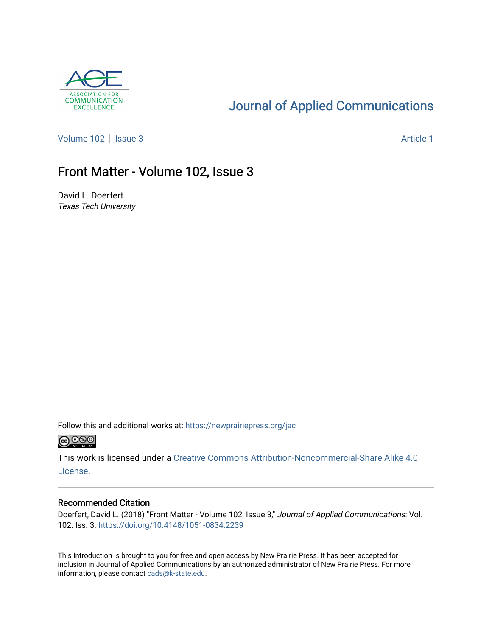

### [Journal of Applied Communications](https://newprairiepress.org/jac)

[Volume 102](https://newprairiepress.org/jac/vol102) | [Issue 3](https://newprairiepress.org/jac/vol102/iss3) Article 1

### Front Matter - Volume 102, Issue 3

David L. Doerfert Texas Tech University

Follow this and additional works at: [https://newprairiepress.org/jac](https://newprairiepress.org/jac?utm_source=newprairiepress.org%2Fjac%2Fvol102%2Fiss3%2F1&utm_medium=PDF&utm_campaign=PDFCoverPages)  $\bigcirc$  0.90

This work is licensed under a [Creative Commons Attribution-Noncommercial-Share Alike 4.0](https://creativecommons.org/licenses/by-nc-sa/4.0/) [License.](https://creativecommons.org/licenses/by-nc-sa/4.0/)

#### Recommended Citation

Doerfert, David L. (2018) "Front Matter - Volume 102, Issue 3," Journal of Applied Communications: Vol. 102: Iss. 3. <https://doi.org/10.4148/1051-0834.2239>

This Introduction is brought to you for free and open access by New Prairie Press. It has been accepted for inclusion in Journal of Applied Communications by an authorized administrator of New Prairie Press. For more information, please contact [cads@k-state.edu](mailto:cads@k-state.edu).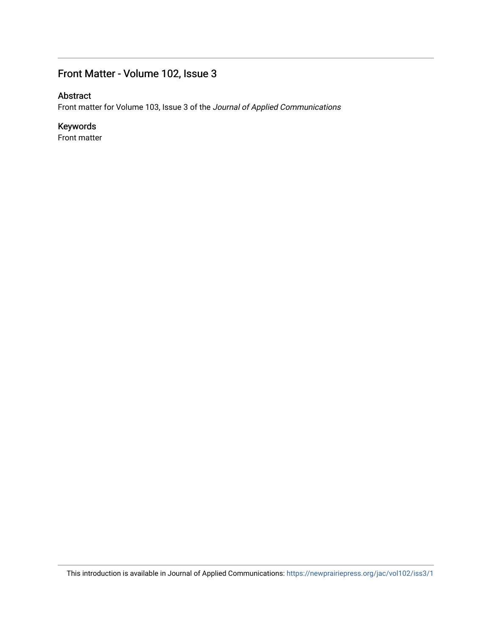#### Front Matter - Volume 102, Issue 3

#### Abstract

Front matter for Volume 103, Issue 3 of the Journal of Applied Communications

#### Keywords

Front matter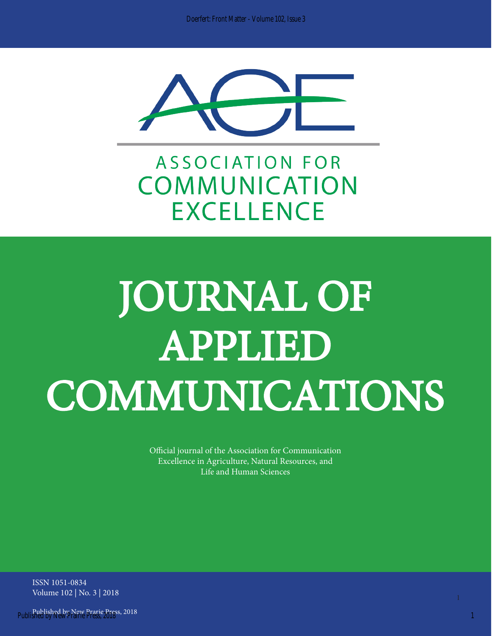

**ASSOCIATION FOR** COMMUNICATION **EXCELLENCE** 

# JOURNAL OF APPLIED COMMUNICATIONS

Official journal of the Association for Communication Excellence in Agriculture, Natural Resources, and Life and Human Sciences

ISSN 1051-0834 Volume 102 | No. 3 | 2018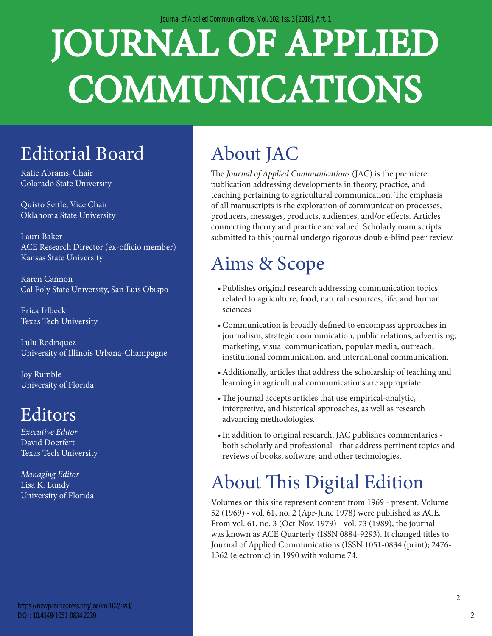*Journal of Applied Communications, Vol. 102, Iss. 3 [2018], Art. 1*

# JOURNAL OF APPLIED COMMUNICATIONS

# Editorial Board

Katie Abrams, Chair Colorado State University

Quisto Settle, Vice Chair Oklahoma State University

Lauri Baker ACE Research Director (ex-officio member) Kansas State University

Karen Cannon Cal Poly State University, San Luis Obispo

Erica Irlbeck Texas Tech University

Lulu Rodriquez University of Illinois Urbana-Champagne

Joy Rumble University of Florida

## Editors

*Executive Editor* David Doerfert Texas Tech University

*Managing Editor*  Lisa K. Lundy University of Florida

# About JAC

The *Journal of Applied Communications* (JAC) is the premiere publication addressing developments in theory, practice, and teaching pertaining to agricultural communication. The emphasis of all manuscripts is the exploration of communication processes, producers, messages, products, audiences, and/or effects. Articles connecting theory and practice are valued. Scholarly manuscripts submitted to this journal undergo rigorous double-blind peer review.

## Aims & Scope

- Publishes original research addressing communication topics related to agriculture, food, natural resources, life, and human sciences.
- •Communication is broadly defined to encompass approaches in journalism, strategic communication, public relations, advertising, marketing, visual communication, popular media, outreach, institutional communication, and international communication.
- •Additionally, articles that address the scholarship of teaching and learning in agricultural communications are appropriate.
- •The journal accepts articles that use empirical-analytic, interpretive, and historical approaches, as well as research advancing methodologies.
- •In addition to original research, JAC publishes commentaries both scholarly and professional - that address pertinent topics and reviews of books, software, and other technologies.

# About This Digital Edition

Volumes on this site represent content from 1969 - present. Volume 52 (1969) - vol. 61, no. 2 (Apr-June 1978) were published as ACE. From vol. 61, no. 3 (Oct-Nov. 1979) - vol. 73 (1989), the journal was known as ACE Quarterly (ISSN 0884-9293). It changed titles to Journal of Applied Communications (ISSN 1051-0834 (print); 2476- 1362 (electronic) in 1990 with volume 74.

2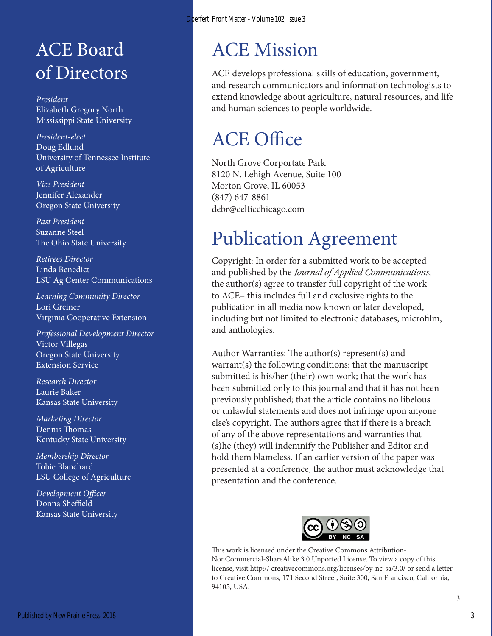## ACE Board of Directors

*President* Elizabeth Gregory North Mississippi State University

*President-elect* Doug Edlund University of Tennessee Institute of Agriculture

*Vice President* Jennifer Alexander Oregon State University

*Past President* Suzanne Steel The Ohio State University

*Retirees Director* Linda Benedict LSU Ag Center Communications

*Learning Community Director* Lori Greiner Virginia Cooperative Extension

*Professional Development Director* Victor Villegas Oregon State University Extension Service

*Research Director* Laurie Baker Kansas State University

*Marketing Director* Dennis Thomas Kentucky State University

*Membership Director* Tobie Blanchard LSU College of Agriculture

*Development Officer* Donna Sheffield Kansas State University

## ACE Mission

ACE develops professional skills of education, government, and research communicators and information technologists to extend knowledge about agriculture, natural resources, and life and human sciences to people worldwide.

## ACE Office

North Grove Corportate Park 8120 N. Lehigh Avenue, Suite 100 Morton Grove, IL 60053 (847) 647-8861 debr@celticchicago.com

## Publication Agreement

Copyright: In order for a submitted work to be accepted and published by the *Journal of Applied Communications*, the author(s) agree to transfer full copyright of the work to ACE– this includes full and exclusive rights to the publication in all media now known or later developed, including but not limited to electronic databases, microfilm, and anthologies.

Author Warranties: The author(s) represent(s) and warrant(s) the following conditions: that the manuscript submitted is his/her (their) own work; that the work has been submitted only to this journal and that it has not been previously published; that the article contains no libelous or unlawful statements and does not infringe upon anyone else's copyright. The authors agree that if there is a breach of any of the above representations and warranties that (s)he (they) will indemnify the Publisher and Editor and hold them blameless. If an earlier version of the paper was presented at a conference, the author must acknowledge that presentation and the conference.



This work is licensed under the Creative Commons Attribution-NonCommercial-ShareAlike 3.0 Unported License. To view a copy of this license, visit http:// creativecommons.org/licenses/by-nc-sa/3.0/ or send a letter to Creative Commons, 171 Second Street, Suite 300, San Francisco, California, 94105, USA.

3